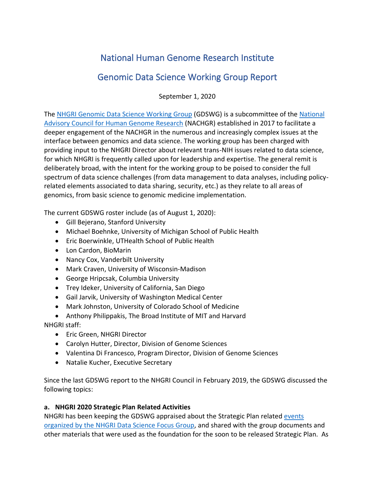# National Human Genome Research Institute

## Genomic Data Science Working Group Report

September 1, 2020

The [NHGRI Genomic Data Science Working Group](https://www.genome.gov/about-nhgri/National-Advisory-Council-for-Human-Genome-Research/Genomic-Data-Science-Working-Group) (GDSWG) is a subcommittee of the [National](https://www.genome.gov/about-nhgri/Institute-Advisors/National-Advisory-Council-for-Human-Genome-Research)  [Advisory Council for Human Genome Research](https://www.genome.gov/about-nhgri/Institute-Advisors/National-Advisory-Council-for-Human-Genome-Research) (NACHGR) established in 2017 to facilitate a deeper engagement of the NACHGR in the numerous and increasingly complex issues at the interface between genomics and data science. The working group has been charged with providing input to the NHGRI Director about relevant trans-NIH issues related to data science, for which NHGRI is frequently called upon for leadership and expertise. The general remit is deliberately broad, with the intent for the working group to be poised to consider the full spectrum of data science challenges (from data management to data analyses, including policyrelated elements associated to data sharing, security, etc.) as they relate to all areas of genomics, from basic science to genomic medicine implementation.

The current GDSWG roster include (as of August 1, 2020):

- Gill Bejerano, Stanford University
- Michael Boehnke, University of Michigan School of Public Health
- Eric Boerwinkle, UTHealth School of Public Health
- Lon Cardon, BioMarin
- Nancy Cox, Vanderbilt University
- Mark Craven, University of Wisconsin-Madison
- George Hripcsak, Columbia University
- Trey Ideker, University of California, San Diego
- Gail Jarvik, University of Washington Medical Center
- Mark Johnston, University of Colorado School of Medicine
- Anthony Philippakis, The Broad Institute of MIT and Harvard

NHGRI staff:

- Eric Green, NHGRI Director
- Carolyn Hutter, Director, Division of Genome Sciences
- Valentina Di Francesco, Program Director, Division of Genome Sciences
- Natalie Kucher, Executive Secretary

Since the last GDSWG report to the NHGRI Council in February 2019, the GDSWG discussed the following topics:

## **a. NHGRI 2020 Strategic Plan Related Activities**

NHGRI has been keeping the GDSWG appraised about the Strategic Plan relate[d events](https://www.genome.gov/about-nhgri/strategic-plan/news-events)  [organized by the NHGRI Data Science Focus Group,](https://www.genome.gov/about-nhgri/strategic-plan/news-events) and shared with the group documents and other materials that were used as the foundation for the soon to be released Strategic Plan. As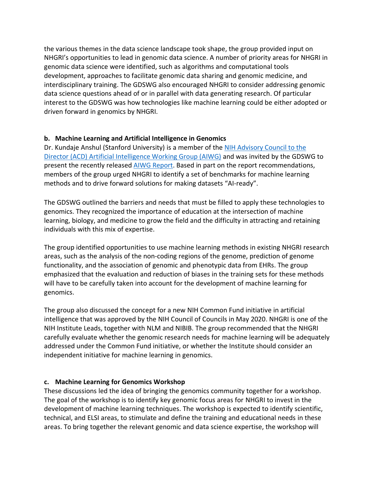the various themes in the data science landscape took shape, the group provided input on NHGRI's opportunities to lead in genomic data science. A number of priority areas for NHGRI in genomic data science were identified, such as algorithms and computational tools development, approaches to facilitate genomic data sharing and genomic medicine, and interdisciplinary training. The GDSWG also encouraged NHGRI to consider addressing genomic data science questions ahead of or in parallel with data generating research. Of particular interest to the GDSWG was how technologies like machine learning could be either adopted or driven forward in genomics by NHGRI.

#### **b. Machine Learning and Artificial Intelligence in Genomics**

Dr. Kundaje Anshul (Stanford University) is a member of the [NIH Advisory Council to the](https://acd.od.nih.gov/working-groups/ai.html)  [Director \(ACD\) Artificial Intelligence Working Group](https://acd.od.nih.gov/working-groups/ai.html) (AIWG) and was invited by the GDSWG to present the recently released AIWG [Report.](https://acd.od.nih.gov/documents/presentations/12132019AI.pdf) Based in part on the report recommendations, members of the group urged NHGRI to identify a set of benchmarks for machine learning methods and to drive forward solutions for making datasets "AI-ready".

The GDSWG outlined the barriers and needs that must be filled to apply these technologies to genomics. They recognized the importance of education at the intersection of machine learning, biology, and medicine to grow the field and the difficulty in attracting and retaining individuals with this mix of expertise.

The group identified opportunities to use machine learning methods in existing NHGRI research areas, such as the analysis of the non-coding regions of the genome, prediction of genome functionality, and the association of genomic and phenotypic data from EHRs. The group emphasized that the evaluation and reduction of biases in the training sets for these methods will have to be carefully taken into account for the development of machine learning for genomics.

The group also discussed the concept for a new [NIH Common Fund initiative in artificial](https://dpcpsi.nih.gov/sites/default/files/CoC_May_2020_1.05PM_CF_Concept_Clearance_AIBLE_Background_Brennan_508.pdf)  [intelligence](https://dpcpsi.nih.gov/sites/default/files/CoC_May_2020_1.05PM_CF_Concept_Clearance_AIBLE_Background_Brennan_508.pdf) that was approved by the NIH Council of Councils in May 2020. NHGRI is one of the NIH Institute Leads, together with NLM and NIBIB. The group recommended that the NHGRI carefully evaluate whether the genomic research needs for machine learning will be adequately addressed under the Common Fund initiative, or whether the Institute should consider an independent initiative for machine learning in genomics.

#### **c. Machine Learning for Genomics Workshop**

These discussions led the idea of bringing the genomics community together for a workshop. The goal of the workshop is to identify key genomic focus areas for NHGRI to invest in the development of machine learning techniques. The workshop is expected to identify scientific, technical, and ELSI areas, to stimulate and define the training and educational needs in these areas. To bring together the relevant genomic and data science expertise, the workshop will